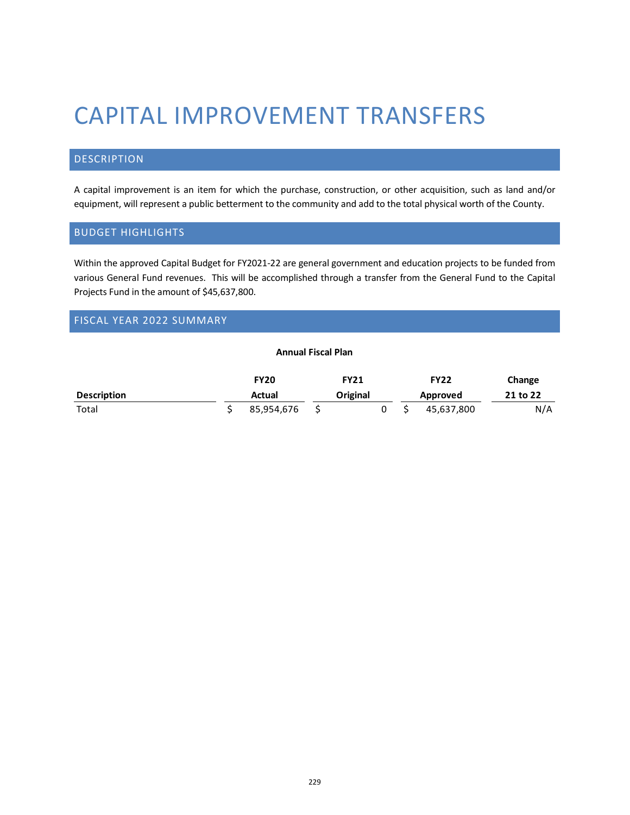# CAPITAL IMPROVEMENT TRANSFERS

## DESCRIPTION

A capital improvement is an item for which the purchase, construction, or other acquisition, such as land and/or equipment, will represent a public betterment to the community and add to the total physical worth of the County.

## BUDGET HIGHLIGHTS

Within the approved Capital Budget for FY2021-22 are general government and education projects to be funded from various General Fund revenues. This will be accomplished through a transfer from the General Fund to the Capital Projects Fund in the amount of \$45,637,800.

# FISCAL YEAR 2022 SUMMARY

#### **Annual Fiscal Plan**

|                    | <b>FY20</b> | <b>FY21</b> |  | <b>FY22</b> | Change   |
|--------------------|-------------|-------------|--|-------------|----------|
| <b>Description</b> | Actual      | Original    |  | Approved    | 21 to 22 |
| Total              | 85,954,676  |             |  | 45,637,800  | N/A      |